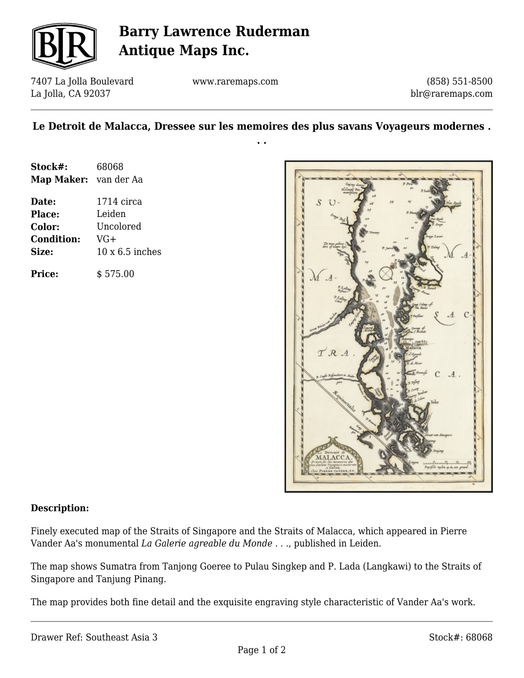

# **Barry Lawrence Ruderman Antique Maps Inc.**

7407 La Jolla Boulevard La Jolla, CA 92037

www.raremaps.com

(858) 551-8500 blr@raremaps.com

### **Le Detroit de Malacca, Dressee sur les memoires des plus savans Voyageurs modernes . . .**

| Stock#:               | 68068                  |
|-----------------------|------------------------|
| Map Maker: van der Aa |                        |
| Date:                 | $1714$ circa           |
| <b>Place:</b>         | Leiden                 |
| Color:                | Uncolored              |
| <b>Condition:</b>     | VG+                    |
| Size:                 | $10 \times 6.5$ inches |
| <b>Price:</b>         | \$575.00               |



#### **Description:**

Finely executed map of the Straits of Singapore and the Straits of Malacca, which appeared in Pierre Vander Aa's monumental *La Galerie agreable du Monde . . .*, published in Leiden.

The map shows Sumatra from Tanjong Goeree to Pulau Singkep and P. Lada (Langkawi) to the Straits of Singapore and Tanjung Pinang.

The map provides both fine detail and the exquisite engraving style characteristic of Vander Aa's work.